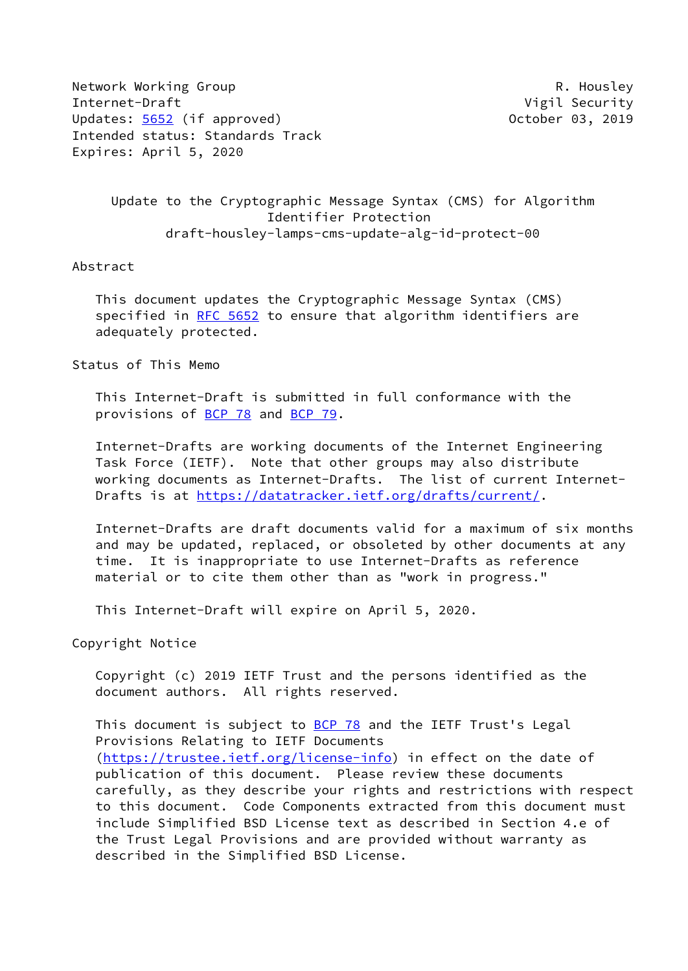Network Working Group **R. Housley** Internet-Draft **Vigil Security** Updates: [5652](https://datatracker.ietf.org/doc/pdf/rfc5652) (if approved) 0ctober 03, 2019 Intended status: Standards Track Expires: April 5, 2020

 Update to the Cryptographic Message Syntax (CMS) for Algorithm Identifier Protection draft-housley-lamps-cms-update-alg-id-protect-00

Abstract

 This document updates the Cryptographic Message Syntax (CMS) specified in [RFC 5652](https://datatracker.ietf.org/doc/pdf/rfc5652) to ensure that algorithm identifiers are adequately protected.

Status of This Memo

 This Internet-Draft is submitted in full conformance with the provisions of [BCP 78](https://datatracker.ietf.org/doc/pdf/bcp78) and [BCP 79](https://datatracker.ietf.org/doc/pdf/bcp79).

 Internet-Drafts are working documents of the Internet Engineering Task Force (IETF). Note that other groups may also distribute working documents as Internet-Drafts. The list of current Internet- Drafts is at<https://datatracker.ietf.org/drafts/current/>.

 Internet-Drafts are draft documents valid for a maximum of six months and may be updated, replaced, or obsoleted by other documents at any time. It is inappropriate to use Internet-Drafts as reference material or to cite them other than as "work in progress."

This Internet-Draft will expire on April 5, 2020.

Copyright Notice

 Copyright (c) 2019 IETF Trust and the persons identified as the document authors. All rights reserved.

This document is subject to **[BCP 78](https://datatracker.ietf.org/doc/pdf/bcp78)** and the IETF Trust's Legal Provisions Relating to IETF Documents [\(https://trustee.ietf.org/license-info](https://trustee.ietf.org/license-info)) in effect on the date of publication of this document. Please review these documents carefully, as they describe your rights and restrictions with respect to this document. Code Components extracted from this document must include Simplified BSD License text as described in Section 4.e of the Trust Legal Provisions and are provided without warranty as described in the Simplified BSD License.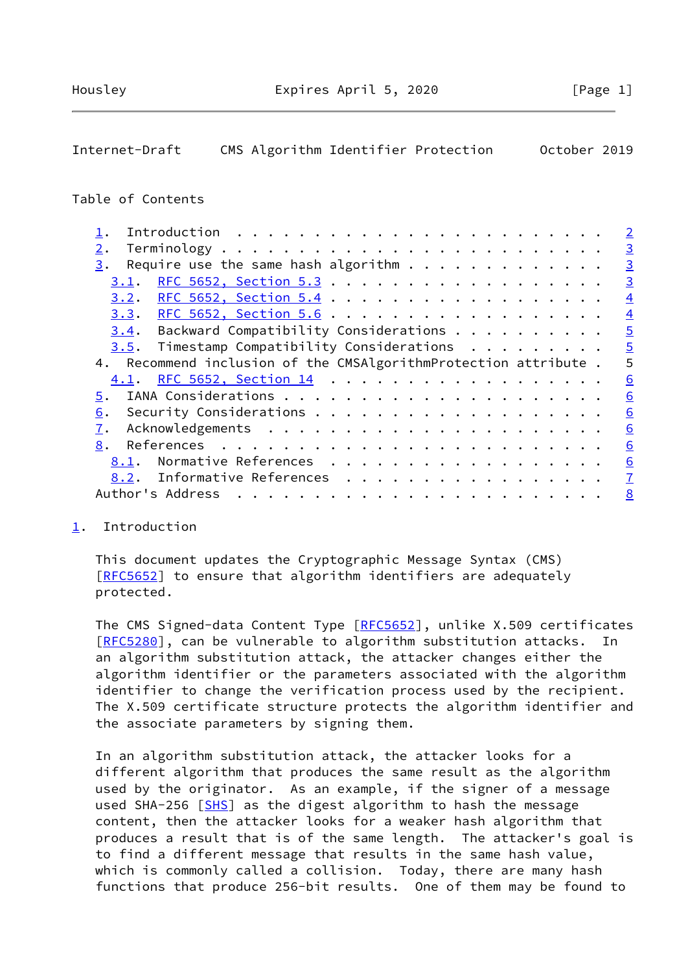# <span id="page-1-1"></span>Internet-Draft CMS Algorithm Identifier Protection October 2019

## Table of Contents

|                                                                 | $\overline{2}$ |
|-----------------------------------------------------------------|----------------|
| 2.                                                              | $\overline{3}$ |
| 3.                                                              | $\overline{3}$ |
| 3.1.                                                            | $\overline{3}$ |
| 3.2.                                                            | $\overline{4}$ |
| <u>3.3. RFC 5652, Section 5.6</u>                               | $\overline{4}$ |
| $3.4$ . Backward Compatibility Considerations                   | $\overline{5}$ |
| Timestamp Compatibility Considerations<br>3.5.                  | $\overline{5}$ |
| 4. Recommend inclusion of the CMSAlgorithmProtection attribute. | 5              |
| 4.1. RFC 5652, Section 14                                       | 6              |
| 5.                                                              | 6              |
| 6.                                                              | 6              |
| 7.                                                              | 6              |
| 8.                                                              | 6              |
| Normative References<br>8.1.                                    | 6              |
| 8.2. Informative References                                     | $\overline{1}$ |
| Author's Address                                                | 8              |
|                                                                 |                |

## <span id="page-1-0"></span>[1](#page-1-0). Introduction

 This document updates the Cryptographic Message Syntax (CMS) [\[RFC5652](https://datatracker.ietf.org/doc/pdf/rfc5652)] to ensure that algorithm identifiers are adequately protected.

 The CMS Signed-data Content Type [\[RFC5652](https://datatracker.ietf.org/doc/pdf/rfc5652)], unlike X.509 certificates [\[RFC5280](https://datatracker.ietf.org/doc/pdf/rfc5280)], can be vulnerable to algorithm substitution attacks. In an algorithm substitution attack, the attacker changes either the algorithm identifier or the parameters associated with the algorithm identifier to change the verification process used by the recipient. The X.509 certificate structure protects the algorithm identifier and the associate parameters by signing them.

 In an algorithm substitution attack, the attacker looks for a different algorithm that produces the same result as the algorithm used by the originator. As an example, if the signer of a message used SHA-256 [\[SHS](#page-7-2)] as the digest algorithm to hash the message content, then the attacker looks for a weaker hash algorithm that produces a result that is of the same length. The attacker's goal is to find a different message that results in the same hash value, which is commonly called a collision. Today, there are many hash functions that produce 256-bit results. One of them may be found to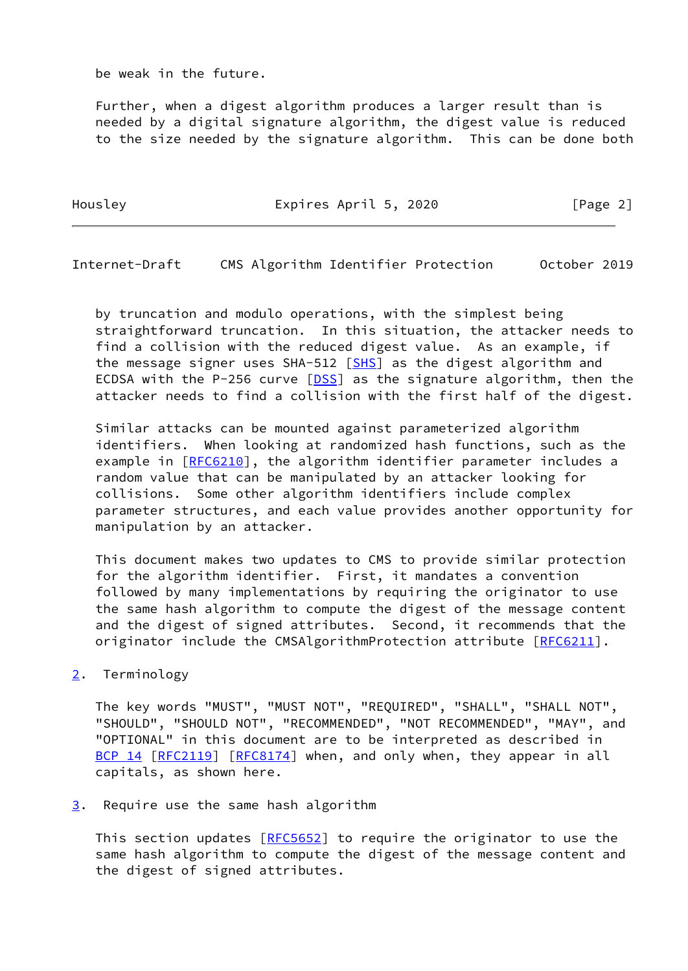be weak in the future.

 Further, when a digest algorithm produces a larger result than is needed by a digital signature algorithm, the digest value is reduced to the size needed by the signature algorithm. This can be done both

Housley **Expires April 5, 2020** [Page 2]

<span id="page-2-1"></span>Internet-Draft CMS Algorithm Identifier Protection October 2019

 by truncation and modulo operations, with the simplest being straightforward truncation. In this situation, the attacker needs to find a collision with the reduced digest value. As an example, if the message signer uses  $SHA-512$   $[SHS]$  $[SHS]$  as the digest algorithm and ECDSA with the P-256 curve [[DSS\]](#page-7-3) as the signature algorithm, then the attacker needs to find a collision with the first half of the digest.

 Similar attacks can be mounted against parameterized algorithm identifiers. When looking at randomized hash functions, such as the example in [[RFC6210\]](https://datatracker.ietf.org/doc/pdf/rfc6210), the algorithm identifier parameter includes a random value that can be manipulated by an attacker looking for collisions. Some other algorithm identifiers include complex parameter structures, and each value provides another opportunity for manipulation by an attacker.

 This document makes two updates to CMS to provide similar protection for the algorithm identifier. First, it mandates a convention followed by many implementations by requiring the originator to use the same hash algorithm to compute the digest of the message content and the digest of signed attributes. Second, it recommends that the originator include the CMSAlgorithmProtection attribute [\[RFC6211](https://datatracker.ietf.org/doc/pdf/rfc6211)].

<span id="page-2-0"></span>[2](#page-2-0). Terminology

 The key words "MUST", "MUST NOT", "REQUIRED", "SHALL", "SHALL NOT", "SHOULD", "SHOULD NOT", "RECOMMENDED", "NOT RECOMMENDED", "MAY", and "OPTIONAL" in this document are to be interpreted as described in [BCP 14](https://datatracker.ietf.org/doc/pdf/bcp14) [\[RFC2119](https://datatracker.ietf.org/doc/pdf/rfc2119)] [\[RFC8174](https://datatracker.ietf.org/doc/pdf/rfc8174)] when, and only when, they appear in all capitals, as shown here.

<span id="page-2-2"></span>[3](#page-2-2). Require use the same hash algorithm

This section updates  $[REC5652]$  to require the originator to use the same hash algorithm to compute the digest of the message content and the digest of signed attributes.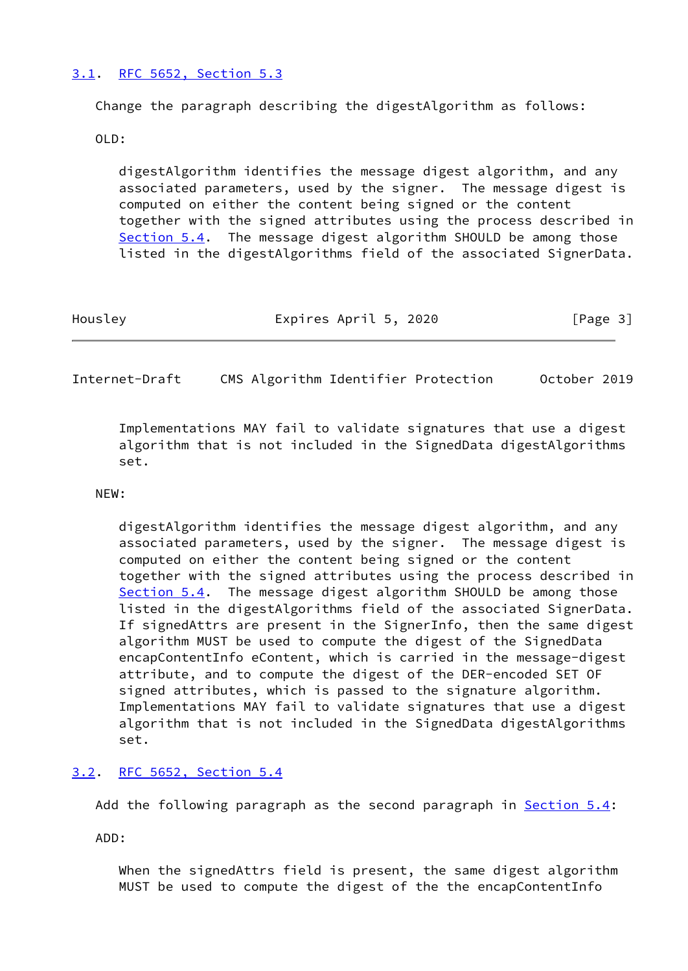# <span id="page-3-0"></span>[3.1](#page-3-0). [RFC 5652, Section](https://datatracker.ietf.org/doc/pdf/rfc5652#section-5.3) 5.3

Change the paragraph describing the digestAlgorithm as follows:

OLD:

 digestAlgorithm identifies the message digest algorithm, and any associated parameters, used by the signer. The message digest is computed on either the content being signed or the content together with the signed attributes using the process described in Section 5.4. The message digest algorithm SHOULD be among those listed in the digestAlgorithms field of the associated SignerData.

| Housley | Expires April 5, 2020 | [Page 3] |
|---------|-----------------------|----------|
|         |                       |          |

<span id="page-3-2"></span>Internet-Draft CMS Algorithm Identifier Protection October 2019

 Implementations MAY fail to validate signatures that use a digest algorithm that is not included in the SignedData digestAlgorithms set.

#### NEW:

 digestAlgorithm identifies the message digest algorithm, and any associated parameters, used by the signer. The message digest is computed on either the content being signed or the content together with the signed attributes using the process described in Section 5.4. The message digest algorithm SHOULD be among those listed in the digestAlgorithms field of the associated SignerData. If signedAttrs are present in the SignerInfo, then the same digest algorithm MUST be used to compute the digest of the SignedData encapContentInfo eContent, which is carried in the message-digest attribute, and to compute the digest of the DER-encoded SET OF signed attributes, which is passed to the signature algorithm. Implementations MAY fail to validate signatures that use a digest algorithm that is not included in the SignedData digestAlgorithms set.

# <span id="page-3-1"></span>[3.2](#page-3-1). [RFC 5652, Section](https://datatracker.ietf.org/doc/pdf/rfc5652#section-5.4) 5.4

Add the following paragraph as the second paragraph in Section 5.4:

ADD:

 When the signedAttrs field is present, the same digest algorithm MUST be used to compute the digest of the the encapContentInfo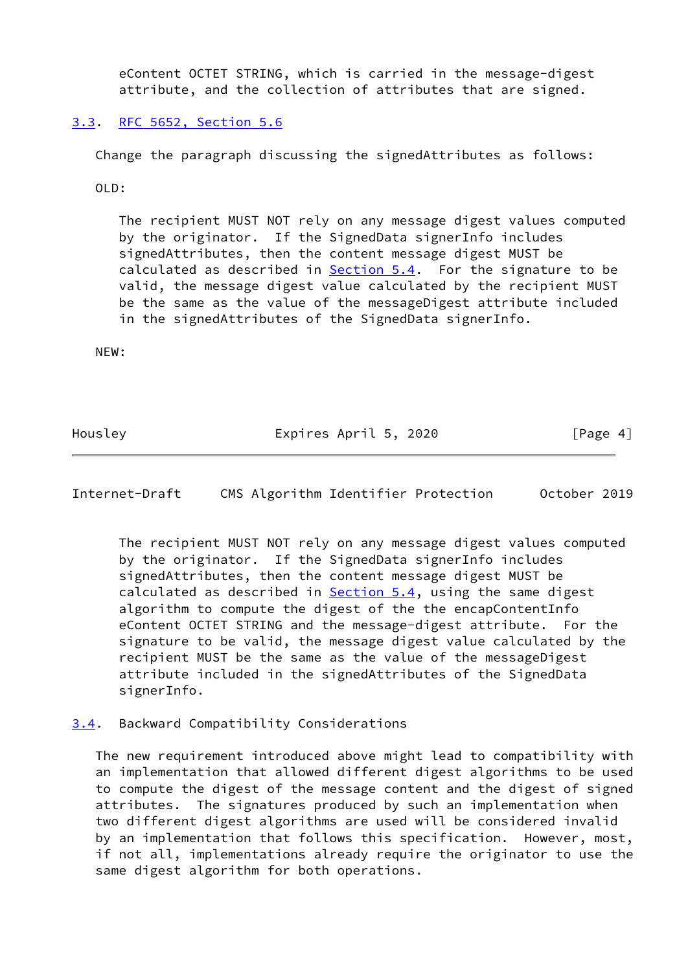eContent OCTET STRING, which is carried in the message-digest attribute, and the collection of attributes that are signed.

# <span id="page-4-0"></span>[3.3](#page-4-0). [RFC 5652, Section](https://datatracker.ietf.org/doc/pdf/rfc5652#section-5.6) 5.6

Change the paragraph discussing the signedAttributes as follows:

OLD:

 The recipient MUST NOT rely on any message digest values computed by the originator. If the SignedData signerInfo includes signedAttributes, then the content message digest MUST be calculated as described in  $Section 5.4$ . For the signature to be valid, the message digest value calculated by the recipient MUST be the same as the value of the messageDigest attribute included in the signedAttributes of the SignedData signerInfo.

NEW:

Housley **Expires April 5, 2020** [Page 4]

<span id="page-4-2"></span>Internet-Draft CMS Algorithm Identifier Protection October 2019

 The recipient MUST NOT rely on any message digest values computed by the originator. If the SignedData signerInfo includes signedAttributes, then the content message digest MUST be calculated as described in  $Section 5.4$ , using the same digest algorithm to compute the digest of the the encapContentInfo eContent OCTET STRING and the message-digest attribute. For the signature to be valid, the message digest value calculated by the recipient MUST be the same as the value of the messageDigest attribute included in the signedAttributes of the SignedData signerInfo.

# <span id="page-4-1"></span>[3.4](#page-4-1). Backward Compatibility Considerations

 The new requirement introduced above might lead to compatibility with an implementation that allowed different digest algorithms to be used to compute the digest of the message content and the digest of signed attributes. The signatures produced by such an implementation when two different digest algorithms are used will be considered invalid by an implementation that follows this specification. However, most, if not all, implementations already require the originator to use the same digest algorithm for both operations.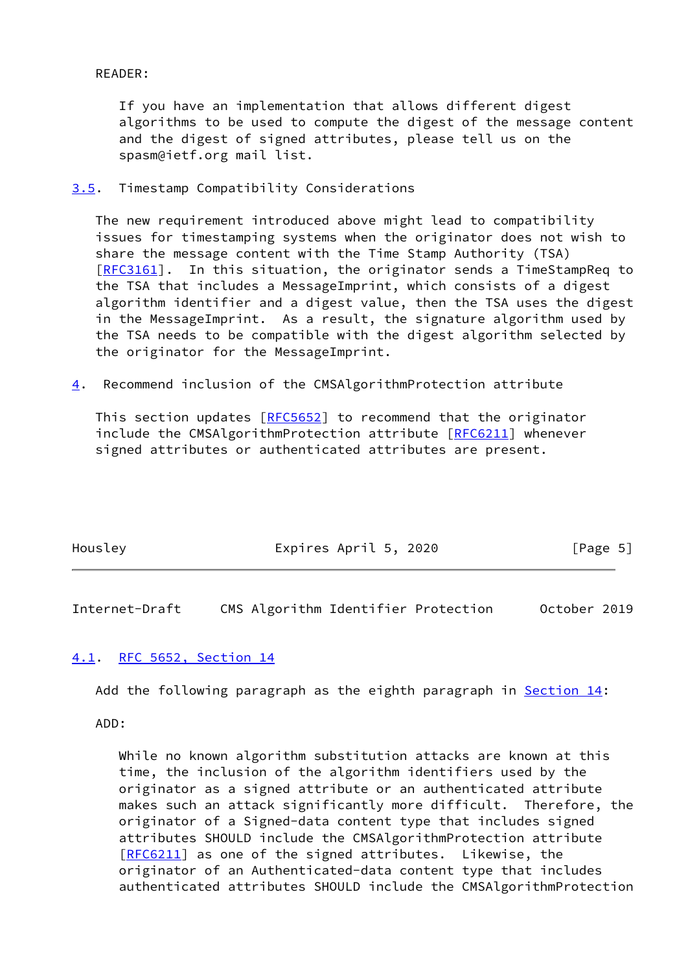READER:

 If you have an implementation that allows different digest algorithms to be used to compute the digest of the message content and the digest of signed attributes, please tell us on the spasm@ietf.org mail list.

<span id="page-5-0"></span>[3.5](#page-5-0). Timestamp Compatibility Considerations

 The new requirement introduced above might lead to compatibility issues for timestamping systems when the originator does not wish to share the message content with the Time Stamp Authority (TSA) [\[RFC3161](https://datatracker.ietf.org/doc/pdf/rfc3161)]. In this situation, the originator sends a TimeStampReq to the TSA that includes a MessageImprint, which consists of a digest algorithm identifier and a digest value, then the TSA uses the digest in the MessageImprint. As a result, the signature algorithm used by the TSA needs to be compatible with the digest algorithm selected by the originator for the MessageImprint.

<span id="page-5-3"></span>[4](#page-5-3). Recommend inclusion of the CMSAlgorithmProtection attribute

This section updates [\[RFC5652](https://datatracker.ietf.org/doc/pdf/rfc5652)] to recommend that the originator include the CMSAlgorithmProtection attribute [\[RFC6211](https://datatracker.ietf.org/doc/pdf/rfc6211)] whenever signed attributes or authenticated attributes are present.

| Housley | Expires April 5, 2020 | [Page 5] |
|---------|-----------------------|----------|
|---------|-----------------------|----------|

<span id="page-5-2"></span>Internet-Draft CMS Algorithm Identifier Protection October 2019

# <span id="page-5-1"></span>[4.1](#page-5-1). [RFC 5652, Section](https://datatracker.ietf.org/doc/pdf/rfc5652#section-14) 14

Add the following paragraph as the eighth paragraph in Section 14:

ADD:

 While no known algorithm substitution attacks are known at this time, the inclusion of the algorithm identifiers used by the originator as a signed attribute or an authenticated attribute makes such an attack significantly more difficult. Therefore, the originator of a Signed-data content type that includes signed attributes SHOULD include the CMSAlgorithmProtection attribute [[RFC6211\]](https://datatracker.ietf.org/doc/pdf/rfc6211) as one of the signed attributes. Likewise, the originator of an Authenticated-data content type that includes authenticated attributes SHOULD include the CMSAlgorithmProtection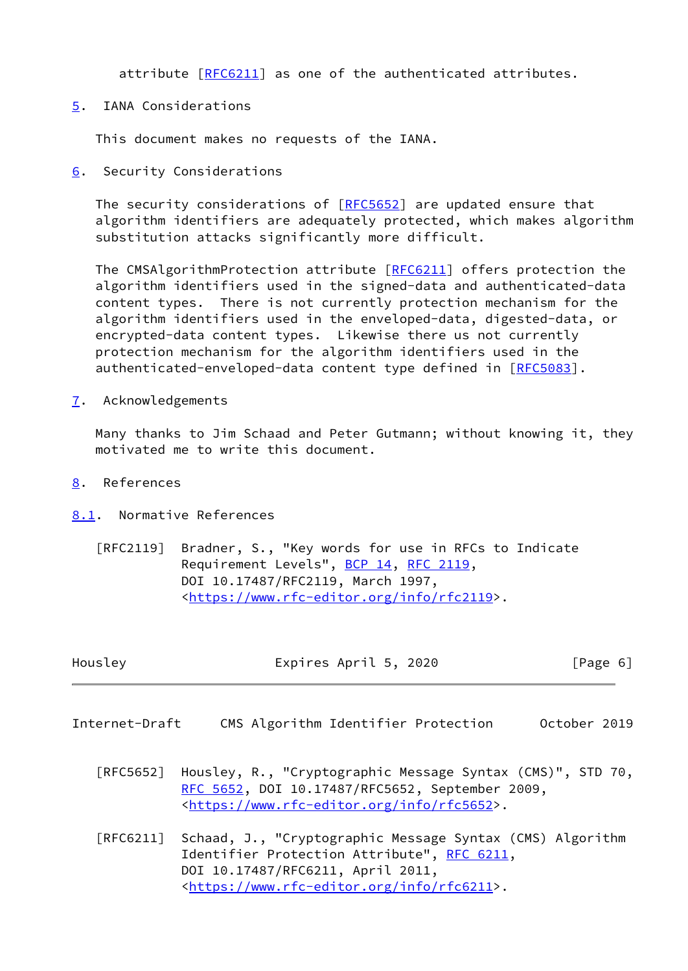attribute [\[RFC6211](https://datatracker.ietf.org/doc/pdf/rfc6211)] as one of the authenticated attributes.

<span id="page-6-0"></span>[5](#page-6-0). IANA Considerations

This document makes no requests of the IANA.

<span id="page-6-1"></span>[6](#page-6-1). Security Considerations

The security considerations of [\[RFC5652](https://datatracker.ietf.org/doc/pdf/rfc5652)] are updated ensure that algorithm identifiers are adequately protected, which makes algorithm substitution attacks significantly more difficult.

The CMSAlgorithmProtection attribute [\[RFC6211](https://datatracker.ietf.org/doc/pdf/rfc6211)] offers protection the algorithm identifiers used in the signed-data and authenticated-data content types. There is not currently protection mechanism for the algorithm identifiers used in the enveloped-data, digested-data, or encrypted-data content types. Likewise there us not currently protection mechanism for the algorithm identifiers used in the authenticated-enveloped-data content type defined in [\[RFC5083](https://datatracker.ietf.org/doc/pdf/rfc5083)].

<span id="page-6-2"></span>[7](#page-6-2). Acknowledgements

 Many thanks to Jim Schaad and Peter Gutmann; without knowing it, they motivated me to write this document.

- <span id="page-6-3"></span>[8](#page-6-3). References
- <span id="page-6-4"></span>[8.1](#page-6-4). Normative References
	- [RFC2119] Bradner, S., "Key words for use in RFCs to Indicate Requirement Levels", [BCP 14](https://datatracker.ietf.org/doc/pdf/bcp14), [RFC 2119](https://datatracker.ietf.org/doc/pdf/rfc2119), DOI 10.17487/RFC2119, March 1997, <[https://www.rfc-editor.org/info/rfc2119>](https://www.rfc-editor.org/info/rfc2119).

<span id="page-6-5"></span>

| Housley        |  | Expires April 5, 2020 |                                                                                                               |              | [Page 6] |
|----------------|--|-----------------------|---------------------------------------------------------------------------------------------------------------|--------------|----------|
| Internet-Draft |  |                       | CMS Algorithm Identifier Protection                                                                           | October 2019 |          |
| FRFC56521      |  |                       | Housley, R., "Cryptographic Message Syntax (CMS)", STD 70,<br>RFC 5652, DOI 10.17487/RFC5652, September 2009, |              |          |

<[https://www.rfc-editor.org/info/rfc5652>](https://www.rfc-editor.org/info/rfc5652).

 [RFC6211] Schaad, J., "Cryptographic Message Syntax (CMS) Algorithm Identifier Protection Attribute", [RFC 6211](https://datatracker.ietf.org/doc/pdf/rfc6211), DOI 10.17487/RFC6211, April 2011, <[https://www.rfc-editor.org/info/rfc6211>](https://www.rfc-editor.org/info/rfc6211).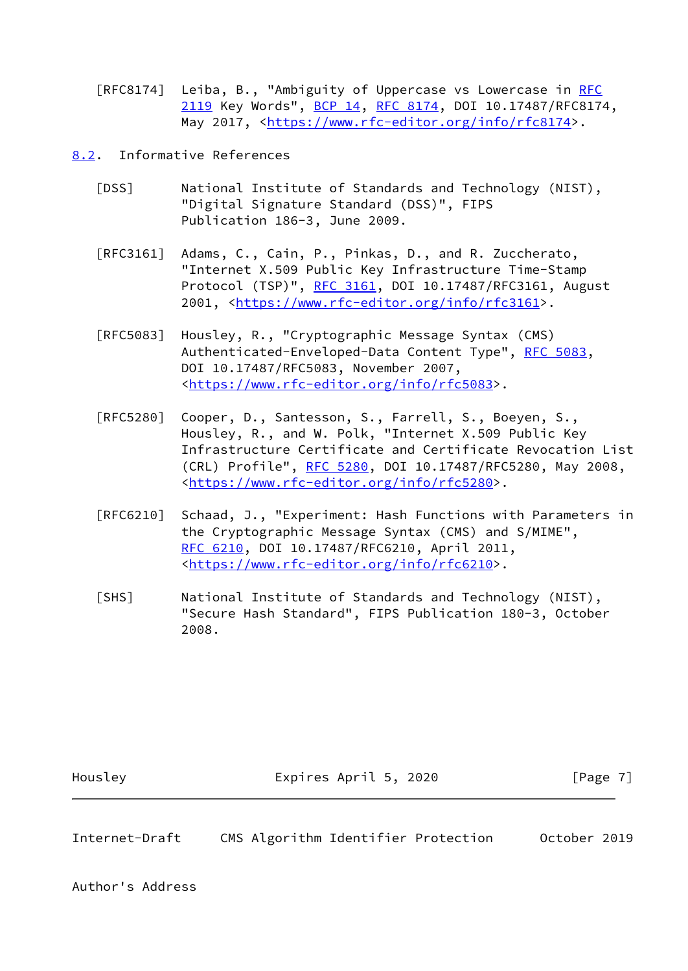[RFC8174] Leiba, B., "Ambiguity of Uppercase vs Lowercase in [RFC](https://datatracker.ietf.org/doc/pdf/rfc2119) [2119](https://datatracker.ietf.org/doc/pdf/rfc2119) Key Words", [BCP 14](https://datatracker.ietf.org/doc/pdf/bcp14), [RFC 8174,](https://datatracker.ietf.org/doc/pdf/rfc8174) DOI 10.17487/RFC8174, May 2017, [<https://www.rfc-editor.org/info/rfc8174](https://www.rfc-editor.org/info/rfc8174)>.

<span id="page-7-0"></span>[8.2](#page-7-0). Informative References

- <span id="page-7-3"></span> [DSS] National Institute of Standards and Technology (NIST), "Digital Signature Standard (DSS)", FIPS Publication 186-3, June 2009.
- [RFC3161] Adams, C., Cain, P., Pinkas, D., and R. Zuccherato, "Internet X.509 Public Key Infrastructure Time-Stamp Protocol (TSP)", [RFC 3161,](https://datatracker.ietf.org/doc/pdf/rfc3161) DOI 10.17487/RFC3161, August 2001, [<https://www.rfc-editor.org/info/rfc3161](https://www.rfc-editor.org/info/rfc3161)>.
- [RFC5083] Housley, R., "Cryptographic Message Syntax (CMS) Authenticated-Enveloped-Data Content Type", [RFC 5083,](https://datatracker.ietf.org/doc/pdf/rfc5083) DOI 10.17487/RFC5083, November 2007, <[https://www.rfc-editor.org/info/rfc5083>](https://www.rfc-editor.org/info/rfc5083).
- [RFC5280] Cooper, D., Santesson, S., Farrell, S., Boeyen, S., Housley, R., and W. Polk, "Internet X.509 Public Key Infrastructure Certificate and Certificate Revocation List (CRL) Profile", [RFC 5280,](https://datatracker.ietf.org/doc/pdf/rfc5280) DOI 10.17487/RFC5280, May 2008, <[https://www.rfc-editor.org/info/rfc5280>](https://www.rfc-editor.org/info/rfc5280).
- [RFC6210] Schaad, J., "Experiment: Hash Functions with Parameters in the Cryptographic Message Syntax (CMS) and S/MIME", [RFC 6210,](https://datatracker.ietf.org/doc/pdf/rfc6210) DOI 10.17487/RFC6210, April 2011, <[https://www.rfc-editor.org/info/rfc6210>](https://www.rfc-editor.org/info/rfc6210).
- <span id="page-7-2"></span> [SHS] National Institute of Standards and Technology (NIST), "Secure Hash Standard", FIPS Publication 180-3, October 2008.

Housley **Expires April 5, 2020** [Page 7]

<span id="page-7-1"></span>Internet-Draft CMS Algorithm Identifier Protection October 2019